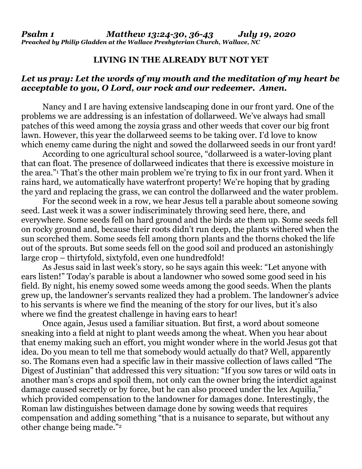## **LIVING IN THE ALREADY BUT NOT YET**

## *Let us pray: Let the words of my mouth and the meditation of my heart be acceptable to you, O Lord, our rock and our redeemer. Amen.*

Nancy and I are having extensive landscaping done in our front yard. One of the problems we are addressing is an infestation of dollarweed. We've always had small patches of this weed among the zoysia grass and other weeds that cover our big front lawn. However, this year the dollarweed seems to be taking over. I'd love to know which enemy came during the night and sowed the dollarweed seeds in our front yard!

According to one agricultural school source, "dollarweed is a water-loving plant that can float. The presence of dollarweed indicates that there is excessive moisture in the area."<sup>1</sup> That's the other main problem we're trying to fix in our front yard. When it rains hard, we automatically have waterfront property! We're hoping that by grading the yard and replacing the grass, we can control the dollarweed and the water problem.

For the second week in a row, we hear Jesus tell a parable about someone sowing seed. Last week it was a sower indiscriminately throwing seed here, there, and everywhere. Some seeds fell on hard ground and the birds ate them up. Some seeds fell on rocky ground and, because their roots didn't run deep, the plants withered when the sun scorched them. Some seeds fell among thorn plants and the thorns choked the life out of the sprouts. But some seeds fell on the good soil and produced an astonishingly large crop – thirtyfold, sixtyfold, even one hundredfold!

As Jesus said in last week's story, so he says again this week: "Let anyone with ears listen!" Today's parable is about a landowner who sowed some good seed in his field. By night, his enemy sowed some weeds among the good seeds. When the plants grew up, the landowner's servants realized they had a problem. The landowner's advice to his servants is where we find the meaning of the story for our lives, but it's also where we find the greatest challenge in having ears to hear!

Once again, Jesus used a familiar situation. But first, a word about someone sneaking into a field at night to plant weeds among the wheat. When you hear about that enemy making such an effort, you might wonder where in the world Jesus got that idea. Do you mean to tell me that somebody would actually do that? Well, apparently so. The Romans even had a specific law in their massive collection of laws called "The Digest of Justinian" that addressed this very situation: "If you sow tares or wild oats in another man's crops and spoil them, not only can the owner bring the interdict against damage caused secretly or by force, but he can also proceed under the lex Aquilia," which provided compensation to the landowner for damages done. Interestingly, the Roman law distinguishes between damage done by sowing weeds that requires compensation and adding something "that is a nuisance to separate, but without any other change being made."<sup>2</sup>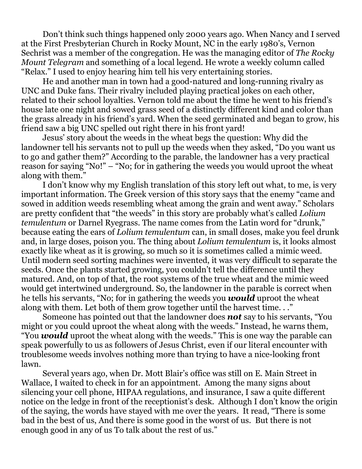Don't think such things happened only 2000 years ago. When Nancy and I served at the First Presbyterian Church in Rocky Mount, NC in the early 1980's, Vernon Sechrist was a member of the congregation. He was the managing editor of *The Rocky Mount Telegram* and something of a local legend. He wrote a weekly column called "Relax." I used to enjoy hearing him tell his very entertaining stories.

He and another man in town had a good-natured and long-running rivalry as UNC and Duke fans. Their rivalry included playing practical jokes on each other, related to their school loyalties. Vernon told me about the time he went to his friend's house late one night and sowed grass seed of a distinctly different kind and color than the grass already in his friend's yard. When the seed germinated and began to grow, his friend saw a big UNC spelled out right there in his front yard!

Jesus' story about the weeds in the wheat begs the question: Why did the landowner tell his servants not to pull up the weeds when they asked, "Do you want us to go and gather them?" According to the parable, the landowner has a very practical reason for saying "No!" – "No; for in gathering the weeds you would uproot the wheat along with them."

I don't know why my English translation of this story left out what, to me, is very important information. The Greek version of this story says that the enemy "came and sowed in addition weeds resembling wheat among the grain and went away." Scholars are pretty confident that "the weeds" in this story are probably what's called *Lolium temulentum* or Darnel Ryegrass. The name comes from the Latin word for "drunk," because eating the ears of *Lolium temulentum* can, in small doses, make you feel drunk and, in large doses, poison you. The thing about *Lolium temulentum* is, it looks almost exactly like wheat as it is growing, so much so it is sometimes called a mimic weed. Until modern seed sorting machines were invented, it was very difficult to separate the seeds. Once the plants started growing, you couldn't tell the difference until they matured. And, on top of that, the root systems of the true wheat and the mimic weed would get intertwined underground. So, the landowner in the parable is correct when he tells his servants, "No; for in gathering the weeds you *would* uproot the wheat along with them. Let both of them grow together until the harvest time. . ."

Someone has pointed out that the landowner does *not* say to his servants, "You might or you could uproot the wheat along with the weeds." Instead, he warns them, "You *would* uproot the wheat along with the weeds." This is one way the parable can speak powerfully to us as followers of Jesus Christ, even if our literal encounter with troublesome weeds involves nothing more than trying to have a nice-looking front lawn.

Several years ago, when Dr. Mott Blair's office was still on E. Main Street in Wallace, I waited to check in for an appointment. Among the many signs about silencing your cell phone, HIPAA regulations, and insurance, I saw a quite different notice on the ledge in front of the receptionist's desk. Although I don't know the origin of the saying, the words have stayed with me over the years. It read, "There is some bad in the best of us, And there is some good in the worst of us. But there is not enough good in any of us To talk about the rest of us."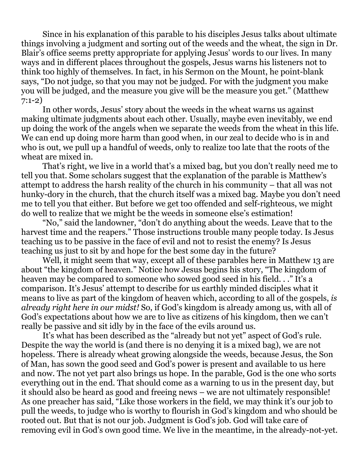Since in his explanation of this parable to his disciples Jesus talks about ultimate things involving a judgment and sorting out of the weeds and the wheat, the sign in Dr. Blair's office seems pretty appropriate for applying Jesus' words to our lives. In many ways and in different places throughout the gospels, Jesus warns his listeners not to think too highly of themselves. In fact, in his Sermon on the Mount, he point-blank says, "Do not judge, so that you may not be judged. For with the judgment you make you will be judged, and the measure you give will be the measure you get." (Matthew 7:1-2)

In other words, Jesus' story about the weeds in the wheat warns us against making ultimate judgments about each other. Usually, maybe even inevitably, we end up doing the work of the angels when we separate the weeds from the wheat in this life. We can end up doing more harm than good when, in our zeal to decide who is in and who is out, we pull up a handful of weeds, only to realize too late that the roots of the wheat are mixed in.

That's right, we live in a world that's a mixed bag, but you don't really need me to tell you that. Some scholars suggest that the explanation of the parable is Matthew's attempt to address the harsh reality of the church in his community – that all was not hunky-dory in the church, that the church itself was a mixed bag. Maybe you don't need me to tell you that either. But before we get too offended and self-righteous, we might do well to realize that we might be the weeds in someone else's estimation!

"No," said the landowner, "don't do anything about the weeds. Leave that to the harvest time and the reapers." Those instructions trouble many people today. Is Jesus teaching us to be passive in the face of evil and not to resist the enemy? Is Jesus teaching us just to sit by and hope for the best some day in the future?

Well, it might seem that way, except all of these parables here in Matthew 13 are about "the kingdom of heaven." Notice how Jesus begins his story, "The kingdom of heaven may be compared to someone who sowed good seed in his field. . ." It's a comparison. It's Jesus' attempt to describe for us earthly minded disciples what it means to live as part of the kingdom of heaven which, according to all of the gospels, *is already right here in our midst!* So, if God's kingdom is already among us, with all of God's expectations about how we are to live as citizens of his kingdom, then we can't really be passive and sit idly by in the face of the evils around us.

It's what has been described as the "already but not yet" aspect of God's rule. Despite the way the world is (and there is no denying it is a mixed bag), we are not hopeless. There is already wheat growing alongside the weeds, because Jesus, the Son of Man, has sown the good seed and God's power is present and available to us here and now. The not yet part also brings us hope. In the parable, God is the one who sorts everything out in the end. That should come as a warning to us in the present day, but it should also be heard as good and freeing news – we are not ultimately responsible! As one preacher has said, "Like those workers in the field, we may think it's our job to pull the weeds, to judge who is worthy to flourish in God's kingdom and who should be rooted out. But that is not our job. Judgment is God's job. God will take care of removing evil in God's own good time. We live in the meantime, in the already-not-yet.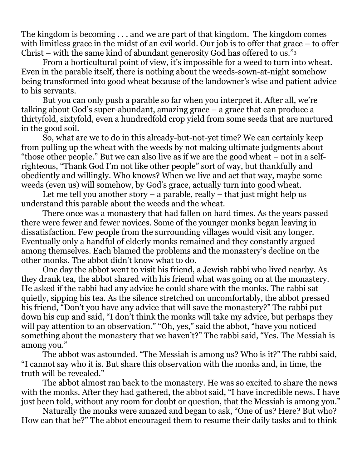The kingdom is becoming . . . and we are part of that kingdom. The kingdom comes with limitless grace in the midst of an evil world. Our job is to offer that grace – to offer Christ – with the same kind of abundant generosity God has offered to us."<sup>3</sup>

From a horticultural point of view, it's impossible for a weed to turn into wheat. Even in the parable itself, there is nothing about the weeds-sown-at-night somehow being transformed into good wheat because of the landowner's wise and patient advice to his servants.

But you can only push a parable so far when you interpret it. After all, we're talking about God's super-abundant, amazing grace – a grace that can produce a thirtyfold, sixtyfold, even a hundredfold crop yield from some seeds that are nurtured in the good soil.

So, what are we to do in this already-but-not-yet time? We can certainly keep from pulling up the wheat with the weeds by not making ultimate judgments about "those other people." But we can also live as if we are the good wheat – not in a selfrighteous, "Thank God I'm not like other people" sort of way, but thankfully and obediently and willingly. Who knows? When we live and act that way, maybe some weeds (even us) will somehow, by God's grace, actually turn into good wheat.

Let me tell you another story  $-$  a parable, really  $-$  that just might help us understand this parable about the weeds and the wheat.

There once was a monastery that had fallen on hard times. As the years passed there were fewer and fewer novices. Some of the younger monks began leaving in dissatisfaction. Few people from the surrounding villages would visit any longer. Eventually only a handful of elderly monks remained and they constantly argued among themselves. Each blamed the problems and the monastery's decline on the other monks. The abbot didn't know what to do.

One day the abbot went to visit his friend, a Jewish rabbi who lived nearby. As they drank tea, the abbot shared with his friend what was going on at the monastery. He asked if the rabbi had any advice he could share with the monks. The rabbi sat quietly, sipping his tea. As the silence stretched on uncomfortably, the abbot pressed his friend, "Don't you have any advice that will save the monastery?" The rabbi put down his cup and said, "I don't think the monks will take my advice, but perhaps they will pay attention to an observation." "Oh, yes," said the abbot, "have you noticed something about the monastery that we haven't?" The rabbi said, "Yes. The Messiah is among you."

The abbot was astounded. "The Messiah is among us? Who is it?" The rabbi said, "I cannot say who it is. But share this observation with the monks and, in time, the truth will be revealed."

The abbot almost ran back to the monastery. He was so excited to share the news with the monks. After they had gathered, the abbot said, "I have incredible news. I have just been told, without any room for doubt or question, that the Messiah is among you."

Naturally the monks were amazed and began to ask, "One of us? Here? But who? How can that be?" The abbot encouraged them to resume their daily tasks and to think